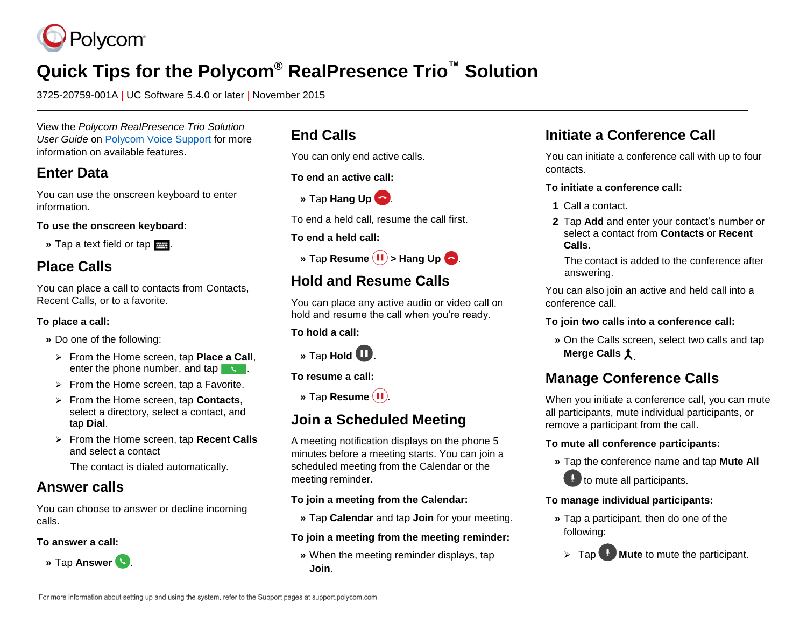

# **Quick Tips for the Polycom® RealPresence Trio™ Solution**

3725-20759-001A | UC Software 5.4.0 or later | November 2015

View the *Polycom RealPresence Trio Solution User Guide* on [Polycom Voice Support](http://support.polycom.com/PolycomService/support/us/support/voice/index.html) for more information on available features.

### **Enter Data**

You can use the onscreen keyboard to enter information.

**To use the onscreen keyboard:**

**»** Tap a text field or tap .

### **Place Calls**

You can place a call to contacts from Contacts, Recent Calls, or to a favorite.

#### **To place a call:**

- **»** Do one of the following:
	- From the Home screen, tap **Place a Call**, enter the phone number, and tap .
	- $\triangleright$  From the Home screen, tap a Favorite.
	- From the Home screen, tap **Contacts**, select a directory, select a contact, and tap **Dial**.
	- From the Home screen, tap **Recent Calls** and select a contact

The contact is dialed automatically.

### **Answer calls**

You can choose to answer or decline incoming calls.

#### **To answer a call:**



### **End Calls**

You can only end active calls.

**To end an active call:**



To end a held call, resume the call first.

#### **To end a held call:**



### **Hold and Resume Calls**

You can place any active audio or video call on hold and resume the call when you're ready.

**To hold a call:**



**To resume a call:**

**»** Tap **Resume**  $(II)$ .

### **Join a Scheduled Meeting**

A meeting notification displays on the phone 5 minutes before a meeting starts. You can join a scheduled meeting from the Calendar or the meeting reminder.

#### **To join a meeting from the Calendar:**

**»** Tap **Calendar** and tap **Join** for your meeting.

#### **To join a meeting from the meeting reminder:**

**»** When the meeting reminder displays, tap **Join**.

### **Initiate a Conference Call**

You can initiate a conference call with up to four contacts.

#### **To initiate a conference call:**

- **1** Call a contact.
- **2** Tap **Add** and enter your contact's number or select a contact from **Contacts** or **Recent Calls**.

The contact is added to the conference after answering.

You can also join an active and held call into a conference call.

#### **To join two calls into a conference call:**

**»** On the Calls screen, select two calls and tap **Merge Calls**  $\uparrow$ 

## **Manage Conference Calls**

When you initiate a conference call, you can mute all participants, mute individual participants, or remove a participant from the call.

#### **To mute all conference participants:**

**»** Tap the conference name and tap **Mute All**



#### **To manage individual participants:**

**»** Tap a participant, then do one of the following: